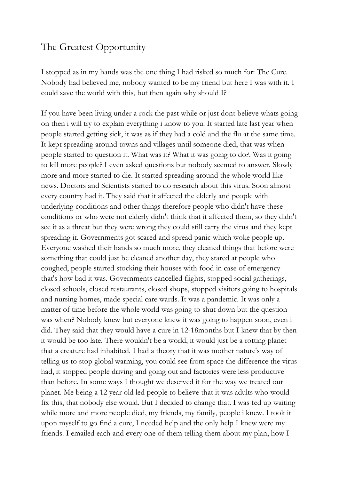## The Greatest Opportunity

I stopped as in my hands was the one thing I had risked so much for: The Cure. Nobody had believed me, nobody wanted to be my friend but here I was with it. I could save the world with this, but then again why should I?

If you have been living under a rock the past while or just dont believe whats going on then i will try to explain everything i know to you. It started late last year when people started getting sick, it was as if they had a cold and the flu at the same time. It kept spreading around towns and villages until someone died, that was when people started to question it. What was it? What it was going to do?. Was it going to kill more people? I even asked questions but nobody seemed to answer. Slowly more and more started to die. It started spreading around the whole world like news. Doctors and Scientists started to do research about this virus. Soon almost every country had it. They said that it affected the elderly and people with underlying conditions and other things therefore people who didn't have these conditions or who were not elderly didn't think that it affected them, so they didn't see it as a threat but they were wrong they could still carry the virus and they kept spreading it. Governments got scared and spread panic which woke people up. Everyone washed their hands so much more, they cleaned things that before were something that could just be cleaned another day, they stared at people who coughed, people started stocking their houses with food in case of emergency that's how bad it was. Governments cancelled flights, stopped social gatherings, closed schools, closed restaurants, closed shops, stopped visitors going to hospitals and nursing homes, made special care wards. It was a pandemic. It was only a matter of time before the whole world was going to shut down but the question was when? Nobody knew but everyone knew it was going to happen soon, even i did. They said that they would have a cure in 12-18months but I knew that by then it would be too late. There wouldn't be a world, it would just be a rotting planet that a creature had inhabited. I had a theory that it was mother nature's way of telling us to stop global warming, you could see from space the difference the virus had, it stopped people driving and going out and factories were less productive than before. In some ways I thought we deserved it for the way we treated our planet. Me being a 12 year old led people to believe that it was adults who would fix this, that nobody else would. But I decided to change that. I was fed up waiting while more and more people died, my friends, my family, people i knew. I took it upon myself to go find a cure, I needed help and the only help I knew were my friends. I emailed each and every one of them telling them about my plan, how I